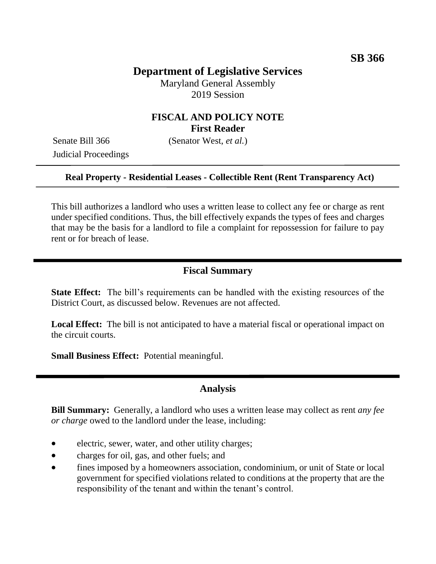# **Department of Legislative Services**

Maryland General Assembly 2019 Session

## **FISCAL AND POLICY NOTE First Reader**

Judicial Proceedings

Senate Bill 366 (Senator West, *et al.*)

#### **Real Property - Residential Leases - Collectible Rent (Rent Transparency Act)**

This bill authorizes a landlord who uses a written lease to collect any fee or charge as rent under specified conditions. Thus, the bill effectively expands the types of fees and charges that may be the basis for a landlord to file a complaint for repossession for failure to pay rent or for breach of lease.

### **Fiscal Summary**

**State Effect:** The bill's requirements can be handled with the existing resources of the District Court, as discussed below. Revenues are not affected.

**Local Effect:** The bill is not anticipated to have a material fiscal or operational impact on the circuit courts.

**Small Business Effect:** Potential meaningful.

### **Analysis**

**Bill Summary:** Generally, a landlord who uses a written lease may collect as rent *any fee or charge* owed to the landlord under the lease, including:

- electric, sewer, water, and other utility charges;
- charges for oil, gas, and other fuels; and
- fines imposed by a homeowners association, condominium, or unit of State or local government for specified violations related to conditions at the property that are the responsibility of the tenant and within the tenant's control.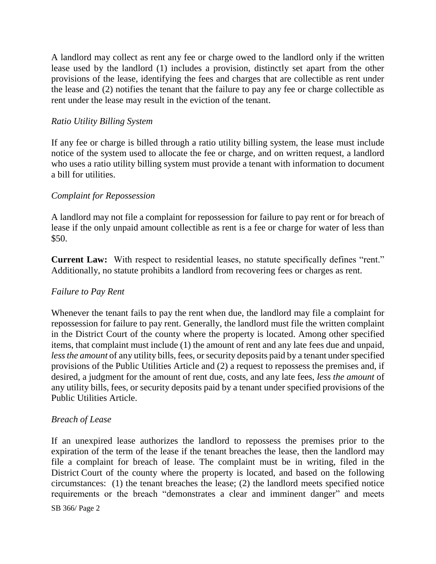A landlord may collect as rent any fee or charge owed to the landlord only if the written lease used by the landlord (1) includes a provision, distinctly set apart from the other provisions of the lease, identifying the fees and charges that are collectible as rent under the lease and (2) notifies the tenant that the failure to pay any fee or charge collectible as rent under the lease may result in the eviction of the tenant.

#### *Ratio Utility Billing System*

If any fee or charge is billed through a ratio utility billing system, the lease must include notice of the system used to allocate the fee or charge, and on written request, a landlord who uses a ratio utility billing system must provide a tenant with information to document a bill for utilities.

### *Complaint for Repossession*

A landlord may not file a complaint for repossession for failure to pay rent or for breach of lease if the only unpaid amount collectible as rent is a fee or charge for water of less than \$50.

**Current Law:** With respect to residential leases, no statute specifically defines "rent." Additionally, no statute prohibits a landlord from recovering fees or charges as rent.

#### *Failure to Pay Rent*

Whenever the tenant fails to pay the rent when due, the landlord may file a complaint for repossession for failure to pay rent. Generally, the landlord must file the written complaint in the District Court of the county where the property is located. Among other specified items, that complaint must include (1) the amount of rent and any late fees due and unpaid, *less the amount* of any utility bills, fees, or security deposits paid by a tenant under specified provisions of the Public Utilities Article and (2) a request to repossess the premises and, if desired, a judgment for the amount of rent due, costs, and any late fees, *less the amount* of any utility bills, fees, or security deposits paid by a tenant under specified provisions of the Public Utilities Article.

### *Breach of Lease*

If an unexpired lease authorizes the landlord to repossess the premises prior to the expiration of the term of the lease if the tenant breaches the lease, then the landlord may file a complaint for breach of lease. The complaint must be in writing, filed in the District Court of the county where the property is located, and based on the following circumstances: (1) the tenant breaches the lease; (2) the landlord meets specified notice requirements or the breach "demonstrates a clear and imminent danger" and meets

SB 366/ Page 2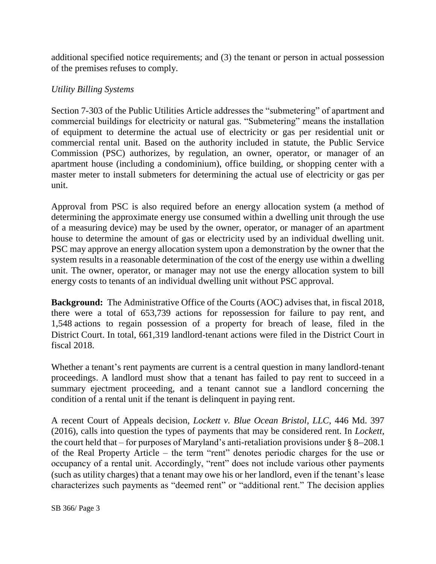additional specified notice requirements; and (3) the tenant or person in actual possession of the premises refuses to comply.

## *Utility Billing Systems*

Section 7-303 of the Public Utilities Article addresses the "submetering" of apartment and commercial buildings for electricity or natural gas. "Submetering" means the installation of equipment to determine the actual use of electricity or gas per residential unit or commercial rental unit. Based on the authority included in statute, the Public Service Commission (PSC) authorizes, by regulation, an owner, operator, or manager of an apartment house (including a condominium), office building, or shopping center with a master meter to install submeters for determining the actual use of electricity or gas per unit.

Approval from PSC is also required before an energy allocation system (a method of determining the approximate energy use consumed within a dwelling unit through the use of a measuring device) may be used by the owner, operator, or manager of an apartment house to determine the amount of gas or electricity used by an individual dwelling unit. PSC may approve an energy allocation system upon a demonstration by the owner that the system results in a reasonable determination of the cost of the energy use within a dwelling unit. The owner, operator, or manager may not use the energy allocation system to bill energy costs to tenants of an individual dwelling unit without PSC approval.

**Background:** The Administrative Office of the Courts (AOC) advises that, in fiscal 2018, there were a total of 653,739 actions for repossession for failure to pay rent, and 1,548 actions to regain possession of a property for breach of lease, filed in the District Court. In total, 661,319 landlord-tenant actions were filed in the District Court in fiscal 2018.

Whether a tenant's rent payments are current is a central question in many landlord-tenant proceedings. A landlord must show that a tenant has failed to pay rent to succeed in a summary ejectment proceeding, and a tenant cannot sue a landlord concerning the condition of a rental unit if the tenant is delinquent in paying rent.

A recent Court of Appeals decision, *Lockett v. Blue Ocean Bristol, LLC*, 446 Md. 397 (2016), calls into question the types of payments that may be considered rent. In *Lockett*, the court held that – for purposes of Maryland's anti-retaliation provisions under § 8–208.1 of the Real Property Article – the term "rent" denotes periodic charges for the use or occupancy of a rental unit. Accordingly, "rent" does not include various other payments (such as utility charges) that a tenant may owe his or her landlord, even if the tenant's lease characterizes such payments as "deemed rent" or "additional rent." The decision applies